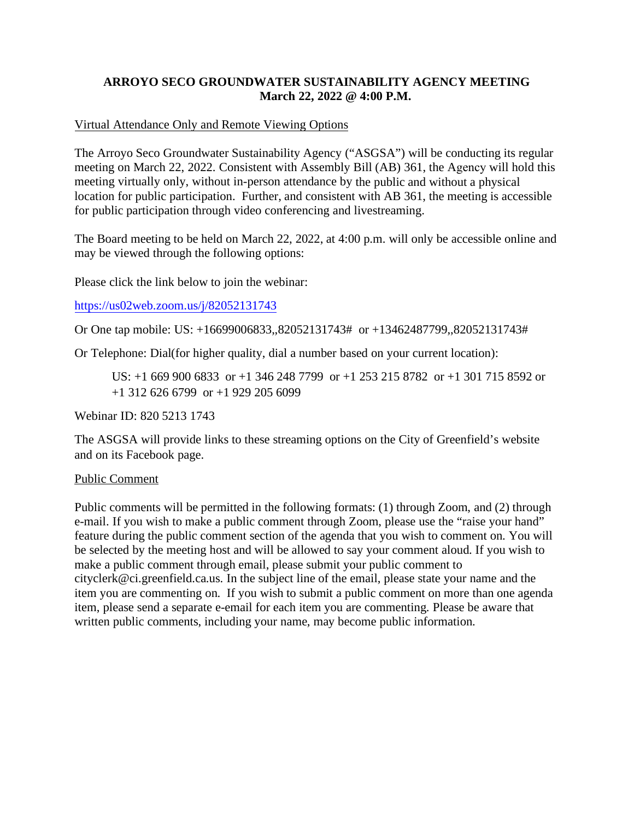## **ARROYO SECO GROUNDWATER SUSTAINABILITY AGENCY MEETING March 22, 2022 @ 4:00 P.M.**

## Virtual Attendance Only and Remote Viewing Options

The Arroyo Seco Groundwater Sustainability Agency ("ASGSA") will be conducting its regular meeting on March 22, 2022. Consistent with Assembly Bill (AB) 361, the Agency will hold this meeting virtually only, without in-person attendance by the public and without a physical location for public participation. Further, and consistent with AB 361, the meeting is accessible for public participation through video conferencing and livestreaming.

The Board meeting to be held on March 22, 2022, at 4:00 p.m. will only be accessible online and may be viewed through the following options:

Please click the link below to join the webinar:

[https://us02web.zoom.us/j/82052131743](https://gcc02.safelinks.protection.outlook.com/?url=https%3A%2F%2Fus02web.zoom.us%2Fj%2F82052131743&data=04%7C01%7Carathbun%40ci.greenfield.ca.us%7C89c5c024bf774a25994208da085c076c%7C52adf9cdcd76407fa0a4fe337a2cafc6%7C0%7C0%7C637831488617874906%7CUnknown%7CTWFpbGZsb3d8eyJWIjoiMC4wLjAwMDAiLCJQIjoiV2luMzIiLCJBTiI6Ik1haWwiLCJXVCI6Mn0%3D%7C3000&sdata=NiZol9KRl4ghJosSO33fkeuSSOs6iyVps%2BhE79vrPSg%3D&reserved=0)

Or One tap mobile: US: +16699006833,,82052131743# or +13462487799,,82052131743#

Or Telephone: Dial(for higher quality, dial a number based on your current location):

US: +1 669 900 6833 or +1 346 248 7799 or +1 253 215 8782 or +1 301 715 8592 or +1 312 626 6799 or +1 929 205 6099

Webinar ID: 820 5213 1743

The ASGSA will provide links to these streaming options on the City of Greenfield's website and on its Facebook page.

## Public Comment

Public comments will be permitted in the following formats: (1) through Zoom, and (2) through e-mail. If you wish to make a public comment through Zoom, please use the "raise your hand" feature during the public comment section of the agenda that you wish to comment on. You will be selected by the meeting host and will be allowed to say your comment aloud. If you wish to make a public comment through email, please submit your public comment to cityclerk@ci.greenfield.ca.us. In the subject line of the email, please state your name and the item you are commenting on. If you wish to submit a public comment on more than one agenda item, please send a separate e-email for each item you are commenting. Please be aware that written public comments, including your name, may become public information.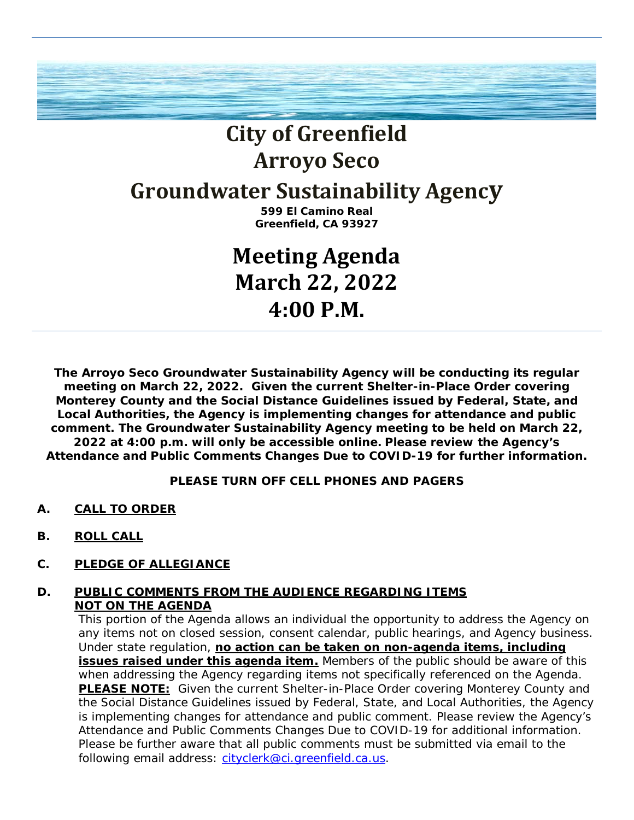

# **City of Greenfield Arroyo Seco**

## **Groundwater Sustainability Agency**

**599 El Camino Real Greenfield, CA 93927**

## **Meeting Agenda March 22, 2022 4:00 P.M.**

**The Arroyo Seco Groundwater Sustainability Agency will be conducting its regular meeting on March 22, 2022. Given the current Shelter-in-Place Order covering Monterey County and the Social Distance Guidelines issued by Federal, State, and Local Authorities, the Agency is implementing changes for attendance and public comment. The Groundwater Sustainability Agency meeting to be held on March 22, 2022 at 4:00 p.m. will only be accessible online. Please review the Agency's Attendance and Public Comments Changes Due to COVID-19 for further information.** 

**PLEASE TURN OFF CELL PHONES AND PAGERS**

- **A. CALL TO ORDER**
- **B. ROLL CALL**
- **C. PLEDGE OF ALLEGIANCE**

## **D. PUBLIC COMMENTS FROM THE AUDIENCE REGARDING ITEMS NOT ON THE AGENDA**

This portion of the Agenda allows an individual the opportunity to address the Agency on any items not on closed session, consent calendar, public hearings, and Agency business. Under state regulation, **no action can be taken on non-agenda items, including**  issues raised under this agenda item. Members of the public should be aware of this when addressing the Agency regarding items not specifically referenced on the Agenda. **PLEASE NOTE:** Given the current Shelter-in-Place Order covering Monterey County and the Social Distance Guidelines issued by Federal, State, and Local Authorities, the Agency is implementing changes for attendance and public comment. Please review the Agency's Attendance and Public Comments Changes Due to COVID-19 for additional information. Please be further aware that all public comments must be submitted via email to the following email address: [cityclerk@ci.greenfield.ca.us.](mailto:cityclerk@ci.greenfield.ca.us)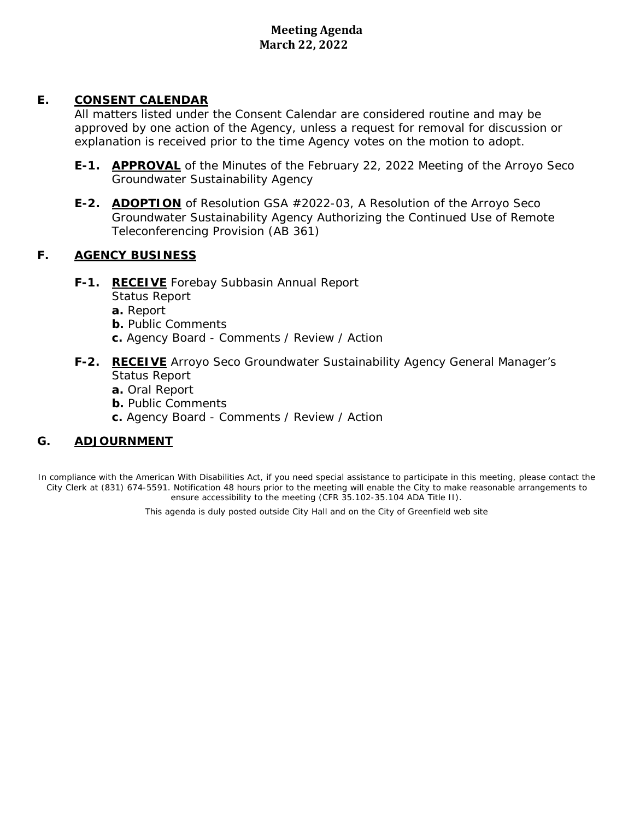## **Meeting Agenda March 22, 2022**

## **E. CONSENT CALENDAR**

All matters listed under the Consent Calendar are considered routine and may be approved by one action of the Agency, unless a request for removal for discussion or explanation is received prior to the time Agency votes on the motion to adopt.

- **E-1. APPROVAL** of the Minutes of the February 22, 2022 Meeting of the Arroyo Seco Groundwater Sustainability Agency
- **E-2. ADOPTION** of Resolution GSA #2022-03, A Resolution of the Arroyo Seco Groundwater Sustainability Agency Authorizing the Continued Use of Remote Teleconferencing Provision (AB 361)

## **F. AGENCY BUSINESS**

**F-1. RECEIVE** Forebay Subbasin Annual Report

Status Report

- **a.** Report
- **b.** Public Comments
- **c.** Agency Board Comments / Review / Action

## **F-2. RECEIVE** Arroyo Seco Groundwater Sustainability Agency General Manager's Status Report

- **a.** Oral Report
- **b.** Public Comments
- **c.** Agency Board Comments / Review / Action

## **G. ADJOURNMENT**

In compliance with the American With Disabilities Act, if you need special assistance to participate in this meeting, please contact the City Clerk at (831) 674-5591. Notification 48 hours prior to the meeting will enable the City to make reasonable arrangements to ensure accessibility to the meeting (CFR 35.102-35.104 ADA Title II). ...................

This agenda is duly posted outside City Hall and on the City of Greenfield web site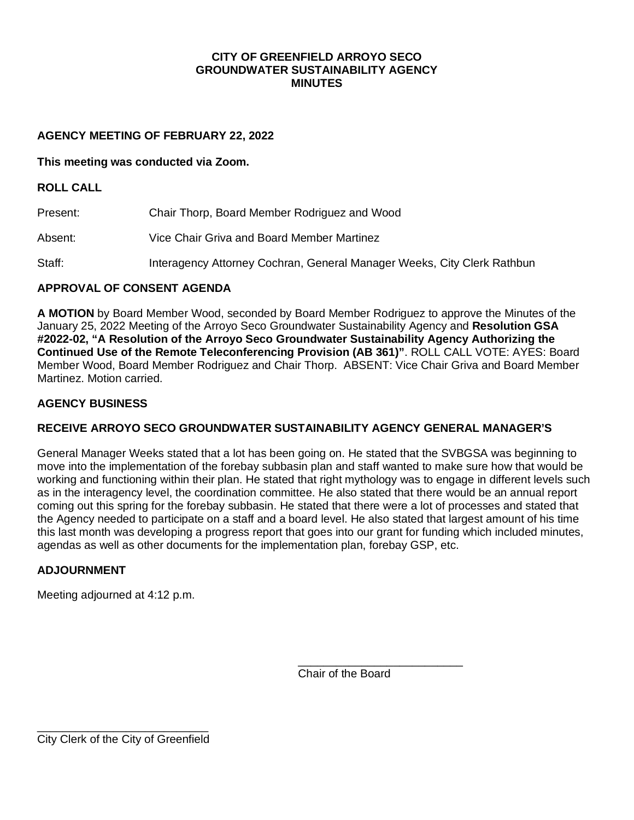## **CITY OF GREENFIELD ARROYO SECO GROUNDWATER SUSTAINABILITY AGENCY MINUTES**

#### **AGENCY MEETING OF FEBRUARY 22, 2022**

#### **This meeting was conducted via Zoom.**

#### **ROLL CALL**

Present: Chair Thorp, Board Member Rodriguez and Wood

- Absent: Vice Chair Griva and Board Member Martinez
- Staff: Interagency Attorney Cochran, General Manager Weeks, City Clerk Rathbun

## **APPROVAL OF CONSENT AGENDA**

**A MOTION** by Board Member Wood, seconded by Board Member Rodriguez to approve the Minutes of the January 25, 2022 Meeting of the Arroyo Seco Groundwater Sustainability Agency and **Resolution GSA #2022-02, "A Resolution of the Arroyo Seco Groundwater Sustainability Agency Authorizing the Continued Use of the Remote Teleconferencing Provision (AB 361)"**. ROLL CALL VOTE: AYES: Board Member Wood, Board Member Rodriguez and Chair Thorp. ABSENT: Vice Chair Griva and Board Member Martinez. Motion carried.

#### **AGENCY BUSINESS**

## **RECEIVE ARROYO SECO GROUNDWATER SUSTAINABILITY AGENCY GENERAL MANAGER'S**

General Manager Weeks stated that a lot has been going on. He stated that the SVBGSA was beginning to move into the implementation of the forebay subbasin plan and staff wanted to make sure how that would be working and functioning within their plan. He stated that right mythology was to engage in different levels such as in the interagency level, the coordination committee. He also stated that there would be an annual report coming out this spring for the forebay subbasin. He stated that there were a lot of processes and stated that the Agency needed to participate on a staff and a board level. He also stated that largest amount of his time this last month was developing a progress report that goes into our grant for funding which included minutes, agendas as well as other documents for the implementation plan, forebay GSP, etc.

## **ADJOURNMENT**

Meeting adjourned at 4:12 p.m.

\_\_\_\_\_\_\_\_\_\_\_\_\_\_\_\_\_\_\_\_\_\_\_\_\_\_ Chair of the Board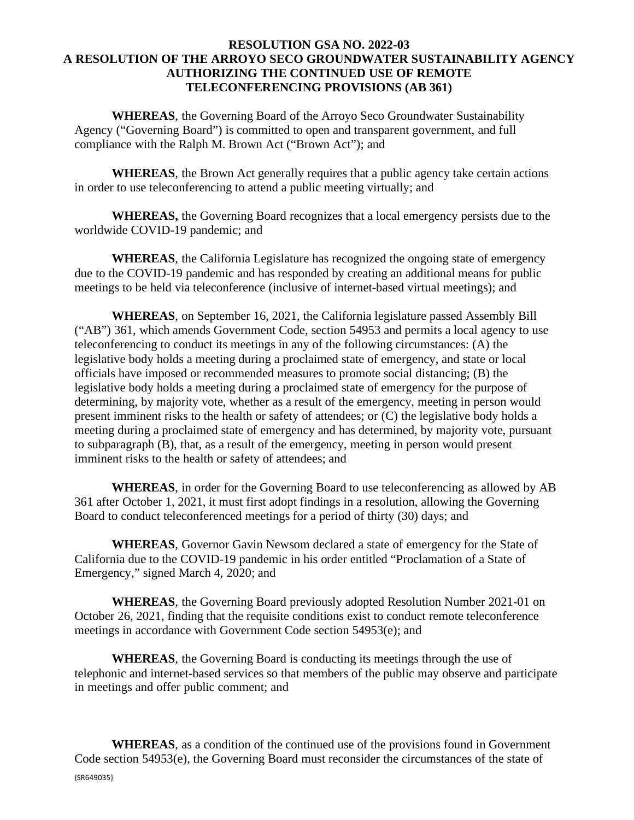## **RESOLUTION GSA NO. 2022-03 A RESOLUTION OF THE ARROYO SECO GROUNDWATER SUSTAINABILITY AGENCY AUTHORIZING THE CONTINUED USE OF REMOTE TELECONFERENCING PROVISIONS (AB 361)**

**WHEREAS**, the Governing Board of the Arroyo Seco Groundwater Sustainability Agency ("Governing Board") is committed to open and transparent government, and full compliance with the Ralph M. Brown Act ("Brown Act"); and

**WHEREAS**, the Brown Act generally requires that a public agency take certain actions in order to use teleconferencing to attend a public meeting virtually; and

**WHEREAS,** the Governing Board recognizes that a local emergency persists due to the worldwide COVID-19 pandemic; and

**WHEREAS**, the California Legislature has recognized the ongoing state of emergency due to the COVID-19 pandemic and has responded by creating an additional means for public meetings to be held via teleconference (inclusive of internet-based virtual meetings); and

**WHEREAS**, on September 16, 2021, the California legislature passed Assembly Bill ("AB") 361, which amends Government Code, section 54953 and permits a local agency to use teleconferencing to conduct its meetings in any of the following circumstances: (A) the legislative body holds a meeting during a proclaimed state of emergency, and state or local officials have imposed or recommended measures to promote social distancing; (B) the legislative body holds a meeting during a proclaimed state of emergency for the purpose of determining, by majority vote, whether as a result of the emergency, meeting in person would present imminent risks to the health or safety of attendees; or (C) the legislative body holds a meeting during a proclaimed state of emergency and has determined, by majority vote, pursuant to subparagraph (B), that, as a result of the emergency, meeting in person would present imminent risks to the health or safety of attendees; and

**WHEREAS**, in order for the Governing Board to use teleconferencing as allowed by AB 361 after October 1, 2021, it must first adopt findings in a resolution, allowing the Governing Board to conduct teleconferenced meetings for a period of thirty (30) days; and

**WHEREAS**, Governor Gavin Newsom declared a state of emergency for the State of California due to the COVID-19 pandemic in his order entitled "Proclamation of a State of Emergency," signed March 4, 2020; and

**WHEREAS**, the Governing Board previously adopted Resolution Number 2021-01 on October 26, 2021, finding that the requisite conditions exist to conduct remote teleconference meetings in accordance with Government Code section 54953(e); and

**WHEREAS**, the Governing Board is conducting its meetings through the use of telephonic and internet-based services so that members of the public may observe and participate in meetings and offer public comment; and

{SR649035} **WHEREAS**, as a condition of the continued use of the provisions found in Government Code section 54953(e), the Governing Board must reconsider the circumstances of the state of